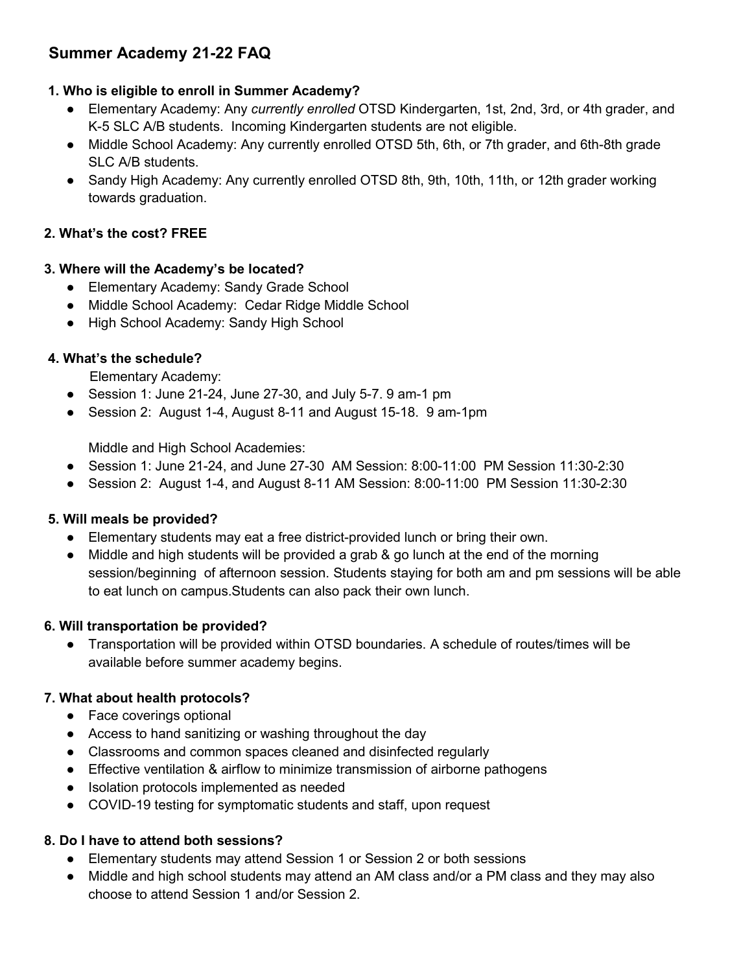# **Summer Academy 21-22 FAQ**

# **1. Who is eligible to enroll in Summer Academy?**

- Elementary Academy: Any *currently enrolled* OTSD Kindergarten, 1st, 2nd, 3rd, or 4th grader, and K-5 SLC A/B students. Incoming Kindergarten students are not eligible.
- Middle School Academy: Any currently enrolled OTSD 5th, 6th, or 7th grader, and 6th-8th grade SLC A/B students.
- Sandy High Academy: Any currently enrolled OTSD 8th, 9th, 10th, 11th, or 12th grader working towards graduation.

#### **2. What's the cost? FREE**

#### **3. Where will the Academy's be located?**

- Elementary Academy: Sandy Grade School
- Middle School Academy: Cedar Ridge Middle School
- High School Academy: Sandy High School

# **4. What's the schedule?**

Elementary Academy:

- $\bullet$  Session 1: June 21-24, June 27-30, and July 5-7. 9 am-1 pm
- Session 2: August 1-4, August 8-11 and August 15-18. 9 am-1pm

Middle and High School Academies:

- Session 1: June 21-24, and June 27-30 AM Session: 8:00-11:00 PM Session 11:30-2:30
- Session 2: August 1-4, and August 8-11 AM Session: 8:00-11:00 PM Session 11:30-2:30

# **5. Will meals be provided?**

- Elementary students may eat a free district-provided lunch or bring their own.
- Middle and high students will be provided a grab & go lunch at the end of the morning session/beginning of afternoon session. Students staying for both am and pm sessions will be able to eat lunch on campus.Students can also pack their own lunch.

# **6. Will transportation be provided?**

● Transportation will be provided within OTSD boundaries. A schedule of routes/times will be available before summer academy begins.

# **7. What about health protocols?**

- Face coverings optional
- Access to hand sanitizing or washing throughout the day
- Classrooms and common spaces cleaned and disinfected regularly
- Effective ventilation & airflow to minimize transmission of airborne pathogens
- Isolation protocols implemented as needed
- COVID-19 testing for symptomatic students and staff, upon request

# **8. Do I have to attend both sessions?**

- Elementary students may attend Session 1 or Session 2 or both sessions
- Middle and high school students may attend an AM class and/or a PM class and they may also choose to attend Session 1 and/or Session 2.